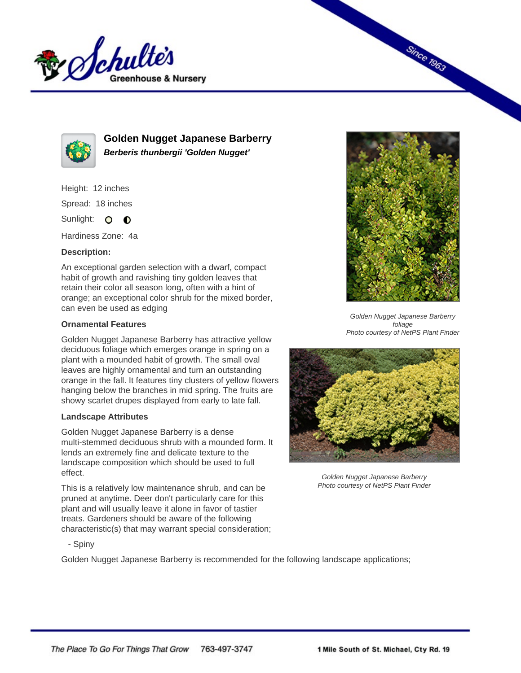



**Golden Nugget Japanese Barberry Berberis thunbergii 'Golden Nugget'**

Height: 12 inches Spread: 18 inches

Sunlight: O **O** 

Hardiness Zone: 4a

## **Description:**

An exceptional garden selection with a dwarf, compact habit of growth and ravishing tiny golden leaves that retain their color all season long, often with a hint of orange; an exceptional color shrub for the mixed border, can even be used as edging

## **Ornamental Features**

Golden Nugget Japanese Barberry has attractive yellow deciduous foliage which emerges orange in spring on a plant with a mounded habit of growth. The small oval leaves are highly ornamental and turn an outstanding orange in the fall. It features tiny clusters of yellow flowers hanging below the branches in mid spring. The fruits are showy scarlet drupes displayed from early to late fall.

## **Landscape Attributes**

Golden Nugget Japanese Barberry is a dense multi-stemmed deciduous shrub with a mounded form. It lends an extremely fine and delicate texture to the landscape composition which should be used to full effect.

This is a relatively low maintenance shrub, and can be pruned at anytime. Deer don't particularly care for this plant and will usually leave it alone in favor of tastier treats. Gardeners should be aware of the following characteristic(s) that may warrant special consideration;



**Since 1963** 

Golden Nugget Japanese Barberry foliage Photo courtesy of NetPS Plant Finder



Golden Nugget Japanese Barberry Photo courtesy of NetPS Plant Finder

- Spiny

Golden Nugget Japanese Barberry is recommended for the following landscape applications;